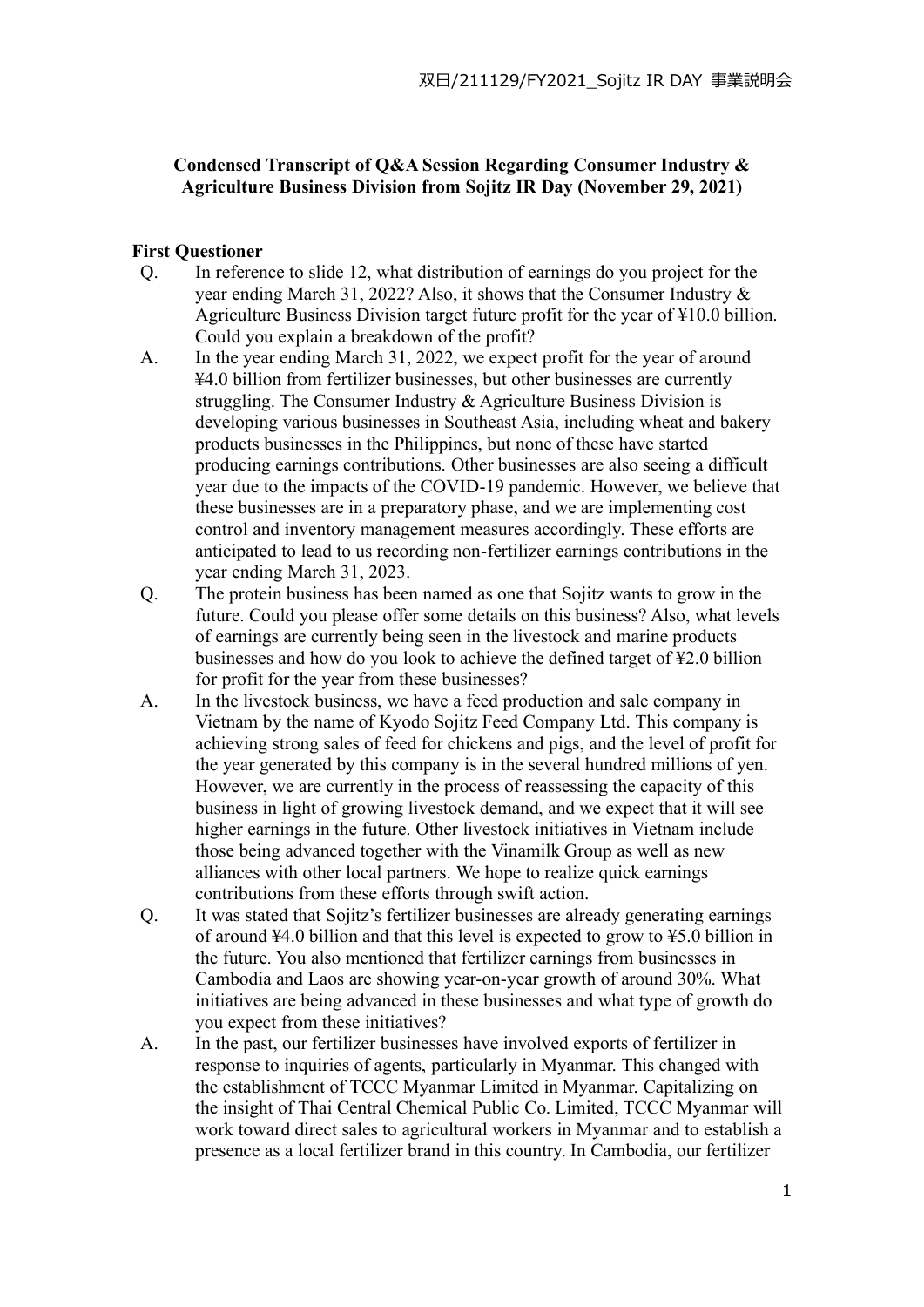## **Condensed Transcript of Q&A Session Regarding Consumer Industry & Agriculture Business Division from Sojitz IR Day (November 29, 2021)**

## **First Questioner**

- Q. In reference to slide 12, what distribution of earnings do you project for the year ending March 31, 2022? Also, it shows that the Consumer Industry & Agriculture Business Division target future profit for the year of ¥10.0 billion. Could you explain a breakdown of the profit?
- A. In the year ending March 31, 2022, we expect profit for the year of around ¥4.0 billion from fertilizer businesses, but other businesses are currently struggling. The Consumer Industry & Agriculture Business Division is developing various businesses in Southeast Asia, including wheat and bakery products businesses in the Philippines, but none of these have started producing earnings contributions. Other businesses are also seeing a difficult year due to the impacts of the COVID-19 pandemic. However, we believe that these businesses are in a preparatory phase, and we are implementing cost control and inventory management measures accordingly. These efforts are anticipated to lead to us recording non-fertilizer earnings contributions in the year ending March 31, 2023.
- Q. The protein business has been named as one that Sojitz wants to grow in the future. Could you please offer some details on this business? Also, what levels of earnings are currently being seen in the livestock and marine products businesses and how do you look to achieve the defined target of ¥2.0 billion for profit for the year from these businesses?
- A. In the livestock business, we have a feed production and sale company in Vietnam by the name of Kyodo Sojitz Feed Company Ltd. This company is achieving strong sales of feed for chickens and pigs, and the level of profit for the year generated by this company is in the several hundred millions of yen. However, we are currently in the process of reassessing the capacity of this business in light of growing livestock demand, and we expect that it will see higher earnings in the future. Other livestock initiatives in Vietnam include those being advanced together with the Vinamilk Group as well as new alliances with other local partners. We hope to realize quick earnings contributions from these efforts through swift action.
- Q. It was stated that Sojitz's fertilizer businesses are already generating earnings of around  $44.0$  billion and that this level is expected to grow to  $45.0$  billion in the future. You also mentioned that fertilizer earnings from businesses in Cambodia and Laos are showing year-on-year growth of around 30%. What initiatives are being advanced in these businesses and what type of growth do you expect from these initiatives?
- A. In the past, our fertilizer businesses have involved exports of fertilizer in response to inquiries of agents, particularly in Myanmar. This changed with the establishment of TCCC Myanmar Limited in Myanmar. Capitalizing on the insight of Thai Central Chemical Public Co. Limited, TCCC Myanmar will work toward direct sales to agricultural workers in Myanmar and to establish a presence as a local fertilizer brand in this country. In Cambodia, our fertilizer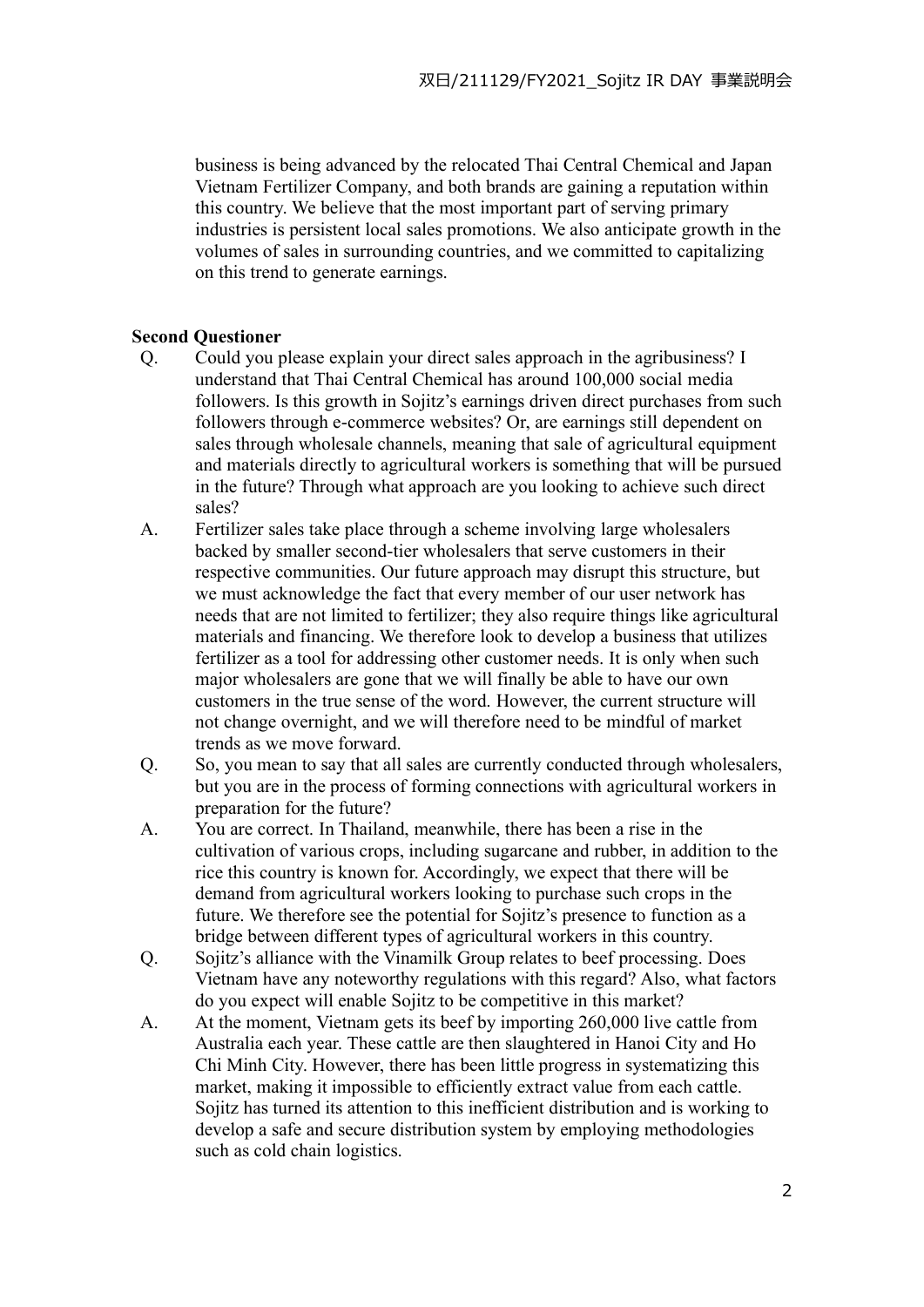business is being advanced by the relocated Thai Central Chemical and Japan Vietnam Fertilizer Company, and both brands are gaining a reputation within this country. We believe that the most important part of serving primary industries is persistent local sales promotions. We also anticipate growth in the volumes of sales in surrounding countries, and we committed to capitalizing on this trend to generate earnings.

## **Second Questioner**

- Q. Could you please explain your direct sales approach in the agribusiness? I understand that Thai Central Chemical has around 100,000 social media followers. Is this growth in Sojitz's earnings driven direct purchases from such followers through e-commerce websites? Or, are earnings still dependent on sales through wholesale channels, meaning that sale of agricultural equipment and materials directly to agricultural workers is something that will be pursued in the future? Through what approach are you looking to achieve such direct sales?
- A. Fertilizer sales take place through a scheme involving large wholesalers backed by smaller second-tier wholesalers that serve customers in their respective communities. Our future approach may disrupt this structure, but we must acknowledge the fact that every member of our user network has needs that are not limited to fertilizer; they also require things like agricultural materials and financing. We therefore look to develop a business that utilizes fertilizer as a tool for addressing other customer needs. It is only when such major wholesalers are gone that we will finally be able to have our own customers in the true sense of the word. However, the current structure will not change overnight, and we will therefore need to be mindful of market trends as we move forward.
- Q. So, you mean to say that all sales are currently conducted through wholesalers, but you are in the process of forming connections with agricultural workers in preparation for the future?
- A. You are correct. In Thailand, meanwhile, there has been a rise in the cultivation of various crops, including sugarcane and rubber, in addition to the rice this country is known for. Accordingly, we expect that there will be demand from agricultural workers looking to purchase such crops in the future. We therefore see the potential for Sojitz's presence to function as a bridge between different types of agricultural workers in this country.
- Q. Sojitz's alliance with the Vinamilk Group relates to beef processing. Does Vietnam have any noteworthy regulations with this regard? Also, what factors do you expect will enable Sojitz to be competitive in this market?
- A. At the moment, Vietnam gets its beef by importing 260,000 live cattle from Australia each year. These cattle are then slaughtered in Hanoi City and Ho Chi Minh City. However, there has been little progress in systematizing this market, making it impossible to efficiently extract value from each cattle. Sojitz has turned its attention to this inefficient distribution and is working to develop a safe and secure distribution system by employing methodologies such as cold chain logistics.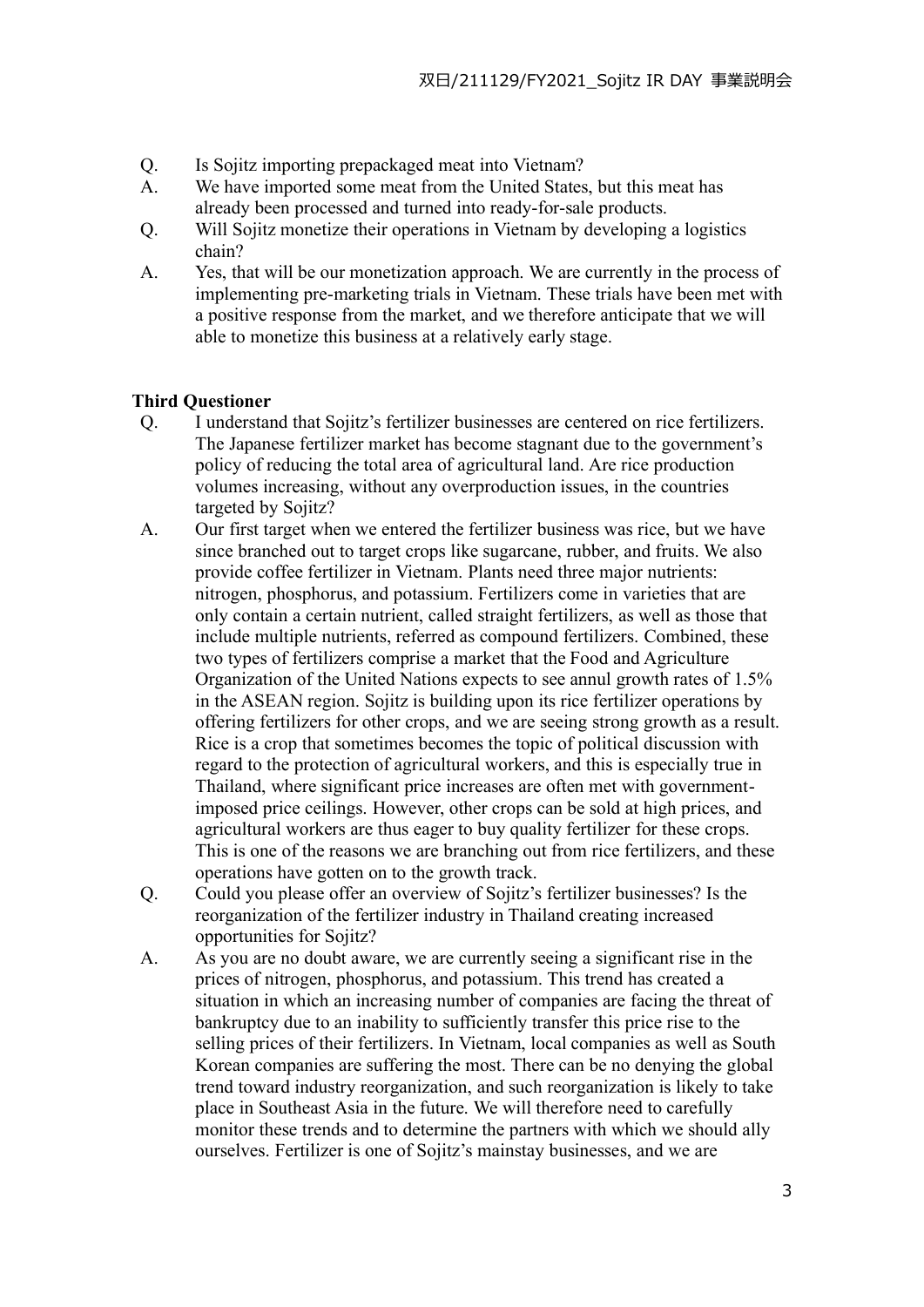- Q. Is Sojitz importing prepackaged meat into Vietnam?
- A. We have imported some meat from the United States, but this meat has already been processed and turned into ready-for-sale products.
- Q. Will Sojitz monetize their operations in Vietnam by developing a logistics chain?
- A. Yes, that will be our monetization approach. We are currently in the process of implementing pre-marketing trials in Vietnam. These trials have been met with a positive response from the market, and we therefore anticipate that we will able to monetize this business at a relatively early stage.

## **Third Questioner**

- Q. I understand that Sojitz's fertilizer businesses are centered on rice fertilizers. The Japanese fertilizer market has become stagnant due to the government's policy of reducing the total area of agricultural land. Are rice production volumes increasing, without any overproduction issues, in the countries targeted by Sojitz?
- A. Our first target when we entered the fertilizer business was rice, but we have since branched out to target crops like sugarcane, rubber, and fruits. We also provide coffee fertilizer in Vietnam. Plants need three major nutrients: nitrogen, phosphorus, and potassium. Fertilizers come in varieties that are only contain a certain nutrient, called straight fertilizers, as well as those that include multiple nutrients, referred as compound fertilizers. Combined, these two types of fertilizers comprise a market that the Food and Agriculture Organization of the United Nations expects to see annul growth rates of 1.5% in the ASEAN region. Sojitz is building upon its rice fertilizer operations by offering fertilizers for other crops, and we are seeing strong growth as a result. Rice is a crop that sometimes becomes the topic of political discussion with regard to the protection of agricultural workers, and this is especially true in Thailand, where significant price increases are often met with governmentimposed price ceilings. However, other crops can be sold at high prices, and agricultural workers are thus eager to buy quality fertilizer for these crops. This is one of the reasons we are branching out from rice fertilizers, and these operations have gotten on to the growth track.
- Q. Could you please offer an overview of Sojitz's fertilizer businesses? Is the reorganization of the fertilizer industry in Thailand creating increased opportunities for Sojitz?
- A. As you are no doubt aware, we are currently seeing a significant rise in the prices of nitrogen, phosphorus, and potassium. This trend has created a situation in which an increasing number of companies are facing the threat of bankruptcy due to an inability to sufficiently transfer this price rise to the selling prices of their fertilizers. In Vietnam, local companies as well as South Korean companies are suffering the most. There can be no denying the global trend toward industry reorganization, and such reorganization is likely to take place in Southeast Asia in the future. We will therefore need to carefully monitor these trends and to determine the partners with which we should ally ourselves. Fertilizer is one of Sojitz's mainstay businesses, and we are